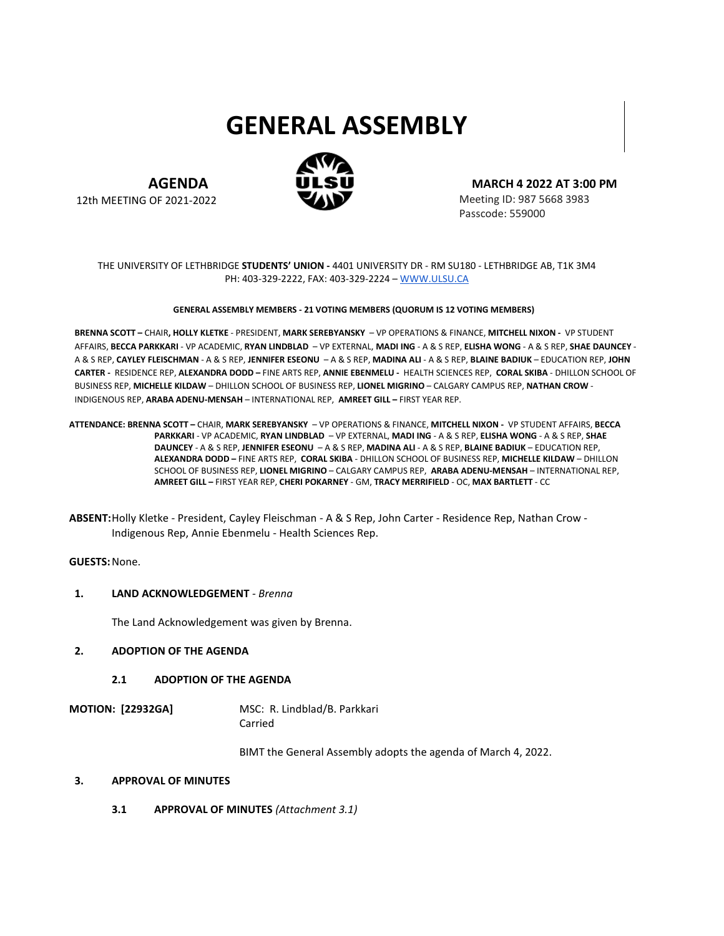# **GENERAL ASSEMBLY**



**AGENDA** 12th MEETING OF 2021-2022 **MARCH 4 2022 AT 3:00 PM**

Meeting ID: 987 5668 3983 Passcode: 559000

## THE UNIVERSITY OF LETHBRIDGE **STUDENTS' UNION -** 4401 UNIVERSITY DR - RM SU180 - LETHBRIDGE AB, T1K 3M4 PH: 403-329-2222, FAX: 403-329-2224 [– WWW.ULSU.CA](http://www.ulsu.ca/)

#### **GENERAL ASSEMBLY MEMBERS - 21 VOTING MEMBERS (QUORUM IS 12 VOTING MEMBERS)**

**BRENNA SCOTT –** CHAIR**, HOLLY KLETKE** - PRESIDENT, **MARK SEREBYANSKY** – VP OPERATIONS & FINANCE, **MITCHELL NIXON -** VP STUDENT AFFAIRS, **BECCA PARKKARI** - VP ACADEMIC, **RYAN LINDBLAD** – VP EXTERNAL, **MADI ING** - A & S REP, **ELISHA WONG** - A & S REP, **SHAE DAUNCEY** - A & S REP, **CAYLEY FLEISCHMAN** - A & S REP, **JENNIFER ESEONU** – A & S REP, **MADINA ALI** - A & S REP, **BLAINE BADIUK** – EDUCATION REP, **JOHN CARTER -** RESIDENCE REP, **ALEXANDRA DODD –** FINE ARTS REP, **ANNIE EBENMELU -** HEALTH SCIENCES REP, **CORAL SKIBA** - DHILLON SCHOOL OF BUSINESS REP, **MICHELLE KILDAW** – DHILLON SCHOOL OF BUSINESS REP, **LIONEL MIGRINO** – CALGARY CAMPUS REP, **NATHAN CROW** - INDIGENOUS REP, **ARABA ADENU-MENSAH** – INTERNATIONAL REP, **AMREET GILL –** FIRST YEAR REP.

**ATTENDANCE: BRENNA SCOTT –** CHAIR, **MARK SEREBYANSKY** – VP OPERATIONS & FINANCE, **MITCHELL NIXON -** VP STUDENT AFFAIRS, **BECCA PARKKARI** - VP ACADEMIC, **RYAN LINDBLAD** – VP EXTERNAL, **MADI ING** - A & S REP, **ELISHA WONG** - A & S REP, **SHAE DAUNCEY** - A & S REP, **JENNIFER ESEONU** – A & S REP, **MADINA ALI** - A & S REP, **BLAINE BADIUK** – EDUCATION REP, **ALEXANDRA DODD –** FINE ARTS REP, **CORAL SKIBA** - DHILLON SCHOOL OF BUSINESS REP, **MICHELLE KILDAW** – DHILLON SCHOOL OF BUSINESS REP, **LIONEL MIGRINO** – CALGARY CAMPUS REP, **ARABA ADENU-MENSAH** – INTERNATIONAL REP, **AMREET GILL –** FIRST YEAR REP, **CHERI POKARNEY** - GM, **TRACY MERRIFIELD** - OC, **MAX BARTLETT** - CC

**GUESTS:**None.

#### **1. LAND ACKNOWLEDGEMENT** *- Brenna*

The Land Acknowledgement was given by Brenna.

## **2. ADOPTION OF THE AGENDA**

#### **2.1 ADOPTION OF THE AGENDA**

**MOTION: [22932GA]** MSC: R. Lindblad/B. Parkkari Carried

BIMT the General Assembly adopts the agenda of March 4, 2022.

#### **3. APPROVAL OF MINUTES**

**3.1 APPROVAL OF MINUTES** *(Attachment 3.1)*

**ABSENT:**Holly Kletke - President, Cayley Fleischman - A & S Rep, John Carter - Residence Rep, Nathan Crow - Indigenous Rep, Annie Ebenmelu - Health Sciences Rep.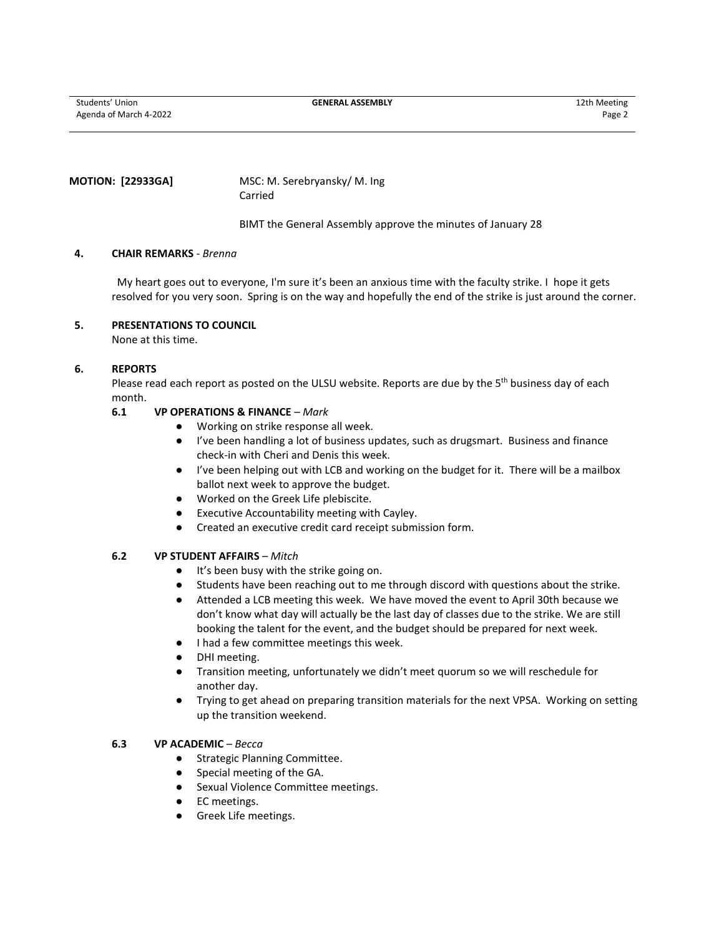Students' Union **GENERAL ASSEMBLY** 12th Meeting Agenda of March 4-2022 Page 2

#### **MOTION: [22933GA]** MSC: M. Serebryansky/ M. Ing Carried

BIMT the General Assembly approve the minutes of January 28

#### **4. CHAIR REMARKS** *- Brenna*

My heart goes out to everyone, I'm sure it's been an anxious time with the faculty strike. I hope it gets resolved for you very soon. Spring is on the way and hopefully the end of the strike is just around the corner.

# **5. PRESENTATIONS TO COUNCIL**

None at this time.

#### **6. REPORTS**

Please read each report as posted on the ULSU website. Reports are due by the 5<sup>th</sup> business day of each month.

#### **6.1 VP OPERATIONS & FINANCE** *– Mark*

- Working on strike response all week.
- I've been handling a lot of business updates, such as drugsmart. Business and finance check-in with Cheri and Denis this week.
- I've been helping out with LCB and working on the budget for it. There will be a mailbox ballot next week to approve the budget.
- Worked on the Greek Life plebiscite.
- Executive Accountability meeting with Cayley.
- Created an executive credit card receipt submission form.

# **6.2 VP STUDENT AFFAIRS** *– Mitch*

- It's been busy with the strike going on.
- Students have been reaching out to me through discord with questions about the strike.
- Attended a LCB meeting this week. We have moved the event to April 30th because we don't know what day will actually be the last day of classes due to the strike. We are still booking the talent for the event, and the budget should be prepared for next week.
- I had a few committee meetings this week.
- DHI meeting.
- Transition meeting, unfortunately we didn't meet quorum so we will reschedule for another day.
- Trying to get ahead on preparing transition materials for the next VPSA. Working on setting up the transition weekend.

#### **6.3 VP ACADEMIC** *– Becca*

- Strategic Planning Committee.
- Special meeting of the GA.
- Sexual Violence Committee meetings.
- EC meetings.
- Greek Life meetings.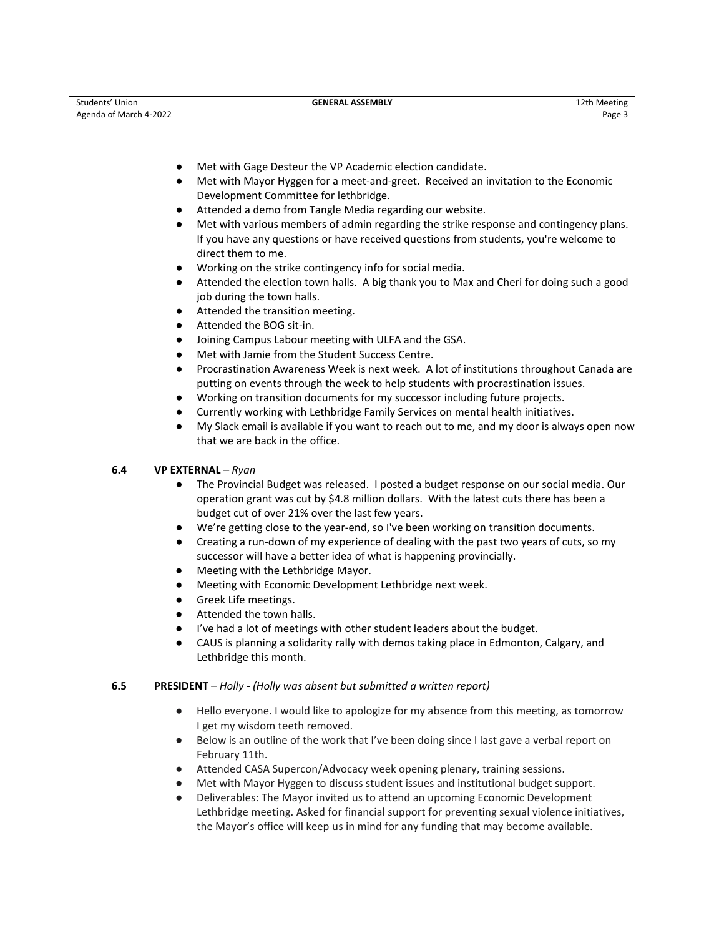- Met with Gage Desteur the VP Academic election candidate.
- Met with Mayor Hyggen for a meet-and-greet. Received an invitation to the Economic Development Committee for lethbridge.
- Attended a demo from Tangle Media regarding our website.
- Met with various members of admin regarding the strike response and contingency plans. If you have any questions or have received questions from students, you're welcome to direct them to me.
- Working on the strike contingency info for social media.
- Attended the election town halls. A big thank you to Max and Cheri for doing such a good job during the town halls.
- Attended the transition meeting.
- Attended the BOG sit-in.
- Joining Campus Labour meeting with ULFA and the GSA.
- Met with Jamie from the Student Success Centre.
- Procrastination Awareness Week is next week. A lot of institutions throughout Canada are putting on events through the week to help students with procrastination issues.
- Working on transition documents for my successor including future projects.
- Currently working with Lethbridge Family Services on mental health initiatives.
- My Slack email is available if you want to reach out to me, and my door is always open now that we are back in the office.
- **6.4 VP EXTERNAL** *– Ryan*
	- The Provincial Budget was released. I posted a budget response on our social media. Our operation grant was cut by \$4.8 million dollars. With the latest cuts there has been a budget cut of over 21% over the last few years.
	- We're getting close to the year-end, so I've been working on transition documents.
	- Creating a run-down of my experience of dealing with the past two years of cuts, so my successor will have a better idea of what is happening provincially.
	- Meeting with the Lethbridge Mayor.
	- Meeting with Economic Development Lethbridge next week.
	- Greek Life meetings.
	- Attended the town halls.
	- I've had a lot of meetings with other student leaders about the budget.
	- CAUS is planning a solidarity rally with demos taking place in Edmonton, Calgary, and Lethbridge this month.

# **6.5 PRESIDENT** *– Holly - (Holly was absent but submitted a written report)*

- Hello everyone. I would like to apologize for my absence from this meeting, as tomorrow I get my wisdom teeth removed.
- Below is an outline of the work that I've been doing since I last gave a verbal report on February 11th.
- Attended CASA Supercon/Advocacy week opening plenary, training sessions.
- Met with Mayor Hyggen to discuss student issues and institutional budget support.
- Deliverables: The Mayor invited us to attend an upcoming Economic Development Lethbridge meeting. Asked for financial support for preventing sexual violence initiatives, the Mayor's office will keep us in mind for any funding that may become available.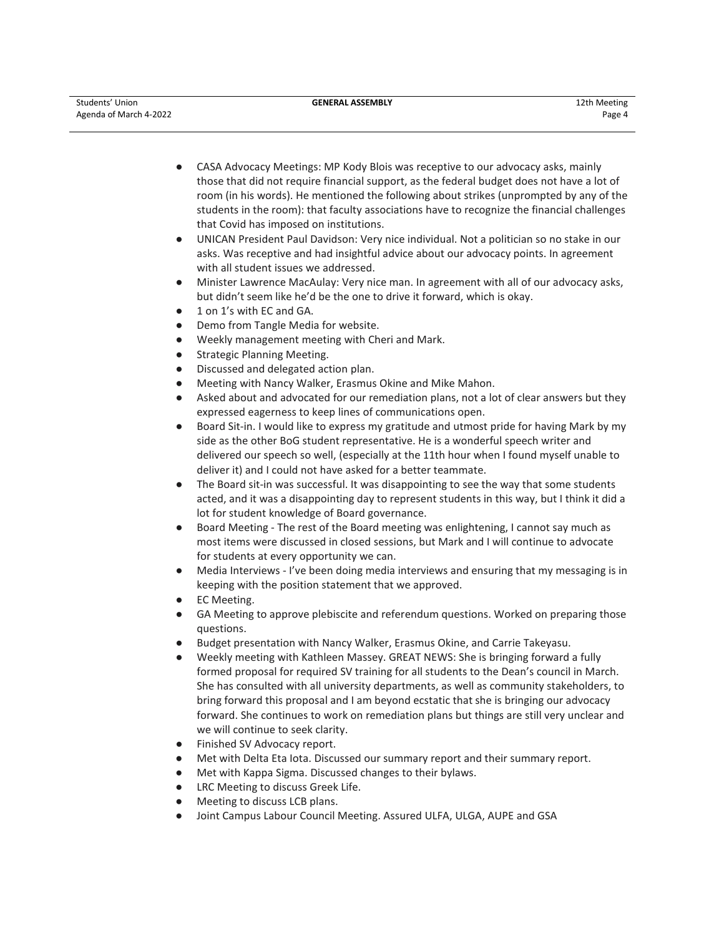- CASA Advocacy Meetings: MP Kody Blois was receptive to our advocacy asks, mainly those that did not require financial support, as the federal budget does not have a lot of room (in his words). He mentioned the following about strikes (unprompted by any of the students in the room): that faculty associations have to recognize the financial challenges that Covid has imposed on institutions.
- UNICAN President Paul Davidson: Very nice individual. Not a politician so no stake in our asks. Was receptive and had insightful advice about our advocacy points. In agreement with all student issues we addressed.
- Minister Lawrence MacAulay: Very nice man. In agreement with all of our advocacy asks, but didn't seem like he'd be the one to drive it forward, which is okay.
- 1 on 1's with EC and GA.
- Demo from Tangle Media for website.
- Weekly management meeting with Cheri and Mark.
- **Strategic Planning Meeting.**
- Discussed and delegated action plan.
- Meeting with Nancy Walker, Erasmus Okine and Mike Mahon.
- Asked about and advocated for our remediation plans, not a lot of clear answers but they expressed eagerness to keep lines of communications open.
- Board Sit-in. I would like to express my gratitude and utmost pride for having Mark by my side as the other BoG student representative. He is a wonderful speech writer and delivered our speech so well, (especially at the 11th hour when I found myself unable to deliver it) and I could not have asked for a better teammate.
- The Board sit-in was successful. It was disappointing to see the way that some students acted, and it was a disappointing day to represent students in this way, but I think it did a lot for student knowledge of Board governance.
- Board Meeting The rest of the Board meeting was enlightening, I cannot say much as most items were discussed in closed sessions, but Mark and I will continue to advocate for students at every opportunity we can.
- Media Interviews I've been doing media interviews and ensuring that my messaging is in keeping with the position statement that we approved.
- **EC Meeting.**
- GA Meeting to approve plebiscite and referendum questions. Worked on preparing those questions.
- Budget presentation with Nancy Walker, Erasmus Okine, and Carrie Takeyasu.
- Weekly meeting with Kathleen Massey. GREAT NEWS: She is bringing forward a fully formed proposal for required SV training for all students to the Dean's council in March. She has consulted with all university departments, as well as community stakeholders, to bring forward this proposal and I am beyond ecstatic that she is bringing our advocacy forward. She continues to work on remediation plans but things are still very unclear and we will continue to seek clarity.
- Finished SV Advocacy report.
- Met with Delta Eta Iota. Discussed our summary report and their summary report.
- Met with Kappa Sigma. Discussed changes to their bylaws.
- LRC Meeting to discuss Greek Life.
- Meeting to discuss LCB plans.
- Joint Campus Labour Council Meeting. Assured ULFA, ULGA, AUPE and GSA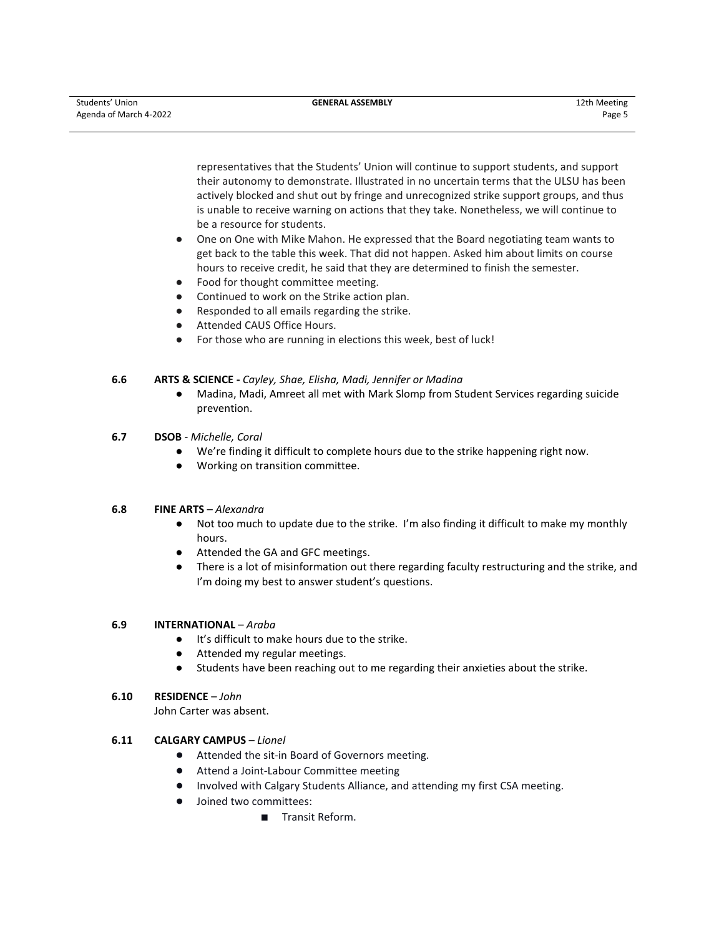representatives that the Students' Union will continue to support students, and support their autonomy to demonstrate. Illustrated in no uncertain terms that the ULSU has been actively blocked and shut out by fringe and unrecognized strike support groups, and thus is unable to receive warning on actions that they take. Nonetheless, we will continue to be a resource for students.

- One on One with Mike Mahon. He expressed that the Board negotiating team wants to get back to the table this week. That did not happen. Asked him about limits on course hours to receive credit, he said that they are determined to finish the semester.
- Food for thought committee meeting.
- Continued to work on the Strike action plan.
- Responded to all emails regarding the strike.
- Attended CAUS Office Hours.
- For those who are running in elections this week, best of luck!

# **6.6 ARTS & SCIENCE -** *Cayley, Shae, Elisha, Madi, Jennifer or Madina*

● Madina, Madi, Amreet all met with Mark Slomp from Student Services regarding suicide prevention.

# **6.7 DSOB** - *Michelle, Coral*

- We're finding it difficult to complete hours due to the strike happening right now.
- Working on transition committee.

# **6.8 FINE ARTS** – *Alexandra*

- Not too much to update due to the strike. I'm also finding it difficult to make my monthly hours.
- Attended the GA and GFC meetings.
- There is a lot of misinformation out there regarding faculty restructuring and the strike, and I'm doing my best to answer student's questions.

# **6.9 INTERNATIONAL** – *Araba*

- It's difficult to make hours due to the strike.
- Attended my regular meetings.
- Students have been reaching out to me regarding their anxieties about the strike.

# **6.10 RESIDENCE** – *John*

John Carter was absent.

# **6.11 CALGARY CAMPUS** – *Lionel*

- Attended the sit-in Board of Governors meeting.
- Attend a Joint-Labour Committee meeting
- Involved with Calgary Students Alliance, and attending my first CSA meeting.
- Joined two committees:
	- Transit Reform.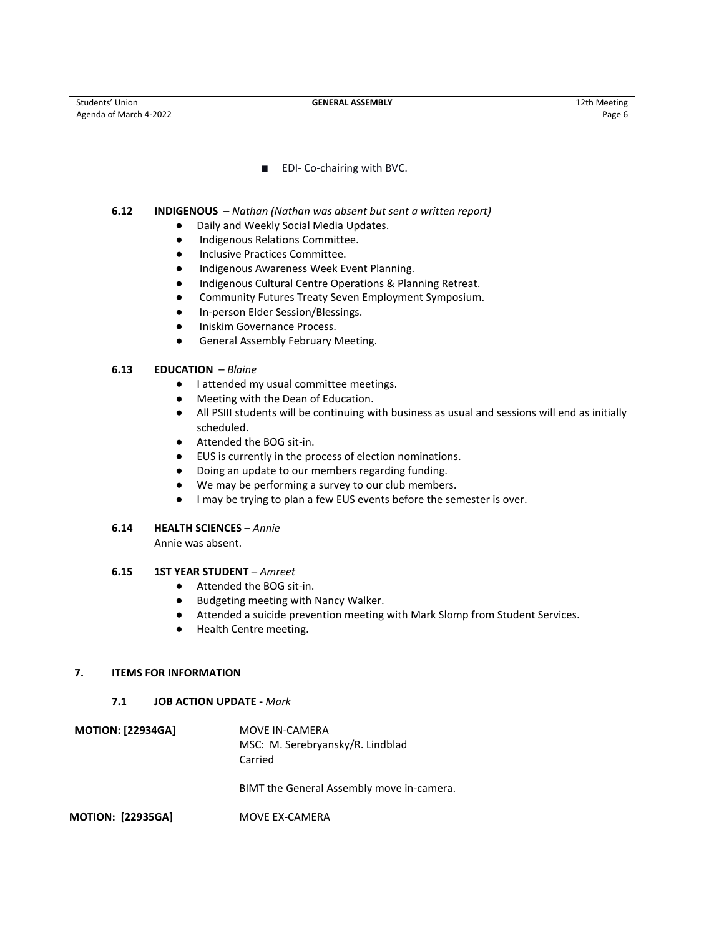■ EDI- Co-chairing with BVC.

## **6.12 INDIGENOUS** – *Nathan (Nathan was absent but sent a written report)*

- Daily and Weekly Social Media Updates.
- Indigenous Relations Committee.
- Inclusive Practices Committee.
- Indigenous Awareness Week Event Planning.
- Indigenous Cultural Centre Operations & Planning Retreat.
- Community Futures Treaty Seven Employment Symposium.
- In-person Elder Session/Blessings.
- Iniskim Governance Process.
- General Assembly February Meeting.

# **6.13 EDUCATION** – *Blaine*

- I attended my usual committee meetings.
- Meeting with the Dean of Education.
- All PSIII students will be continuing with business as usual and sessions will end as initially scheduled.
- Attended the BOG sit-in.
- EUS is currently in the process of election nominations.
- Doing an update to our members regarding funding.
- We may be performing a survey to our club members.
- I may be trying to plan a few EUS events before the semester is over.

# **6.14 HEALTH SCIENCES** – *Annie*

Annie was absent.

# **6.15 1ST YEAR STUDENT** – *Amreet*

- Attended the BOG sit-in.
- Budgeting meeting with Nancy Walker.
- Attended a suicide prevention meeting with Mark Slomp from Student Services.
- Health Centre meeting.

#### **7. ITEMS FOR INFORMATION**

#### **7.1 JOB ACTION UPDATE -** *Mark*

| <b>MOTION: [22934GA]</b> | MOVE IN-CAMERA<br>MSC: M. Serebryansky/R. Lindblad<br>Carried |
|--------------------------|---------------------------------------------------------------|
|                          | BIMT the General Assembly move in-camera.                     |
| <b>MOTION: [22935GA]</b> | MOVE EX-CAMERA                                                |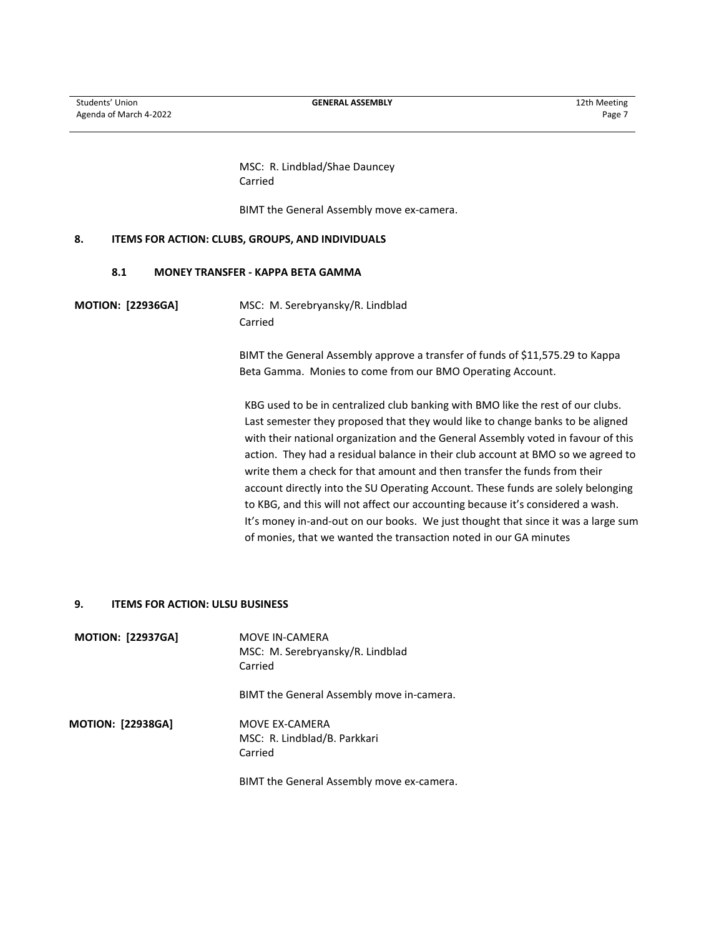MSC: R. Lindblad/Shae Dauncey Carried

BIMT the General Assembly move ex-camera.

# **8. ITEMS FOR ACTION: CLUBS, GROUPS, AND INDIVIDUALS**

#### **8.1 MONEY TRANSFER - KAPPA BETA GAMMA**

**MOTION: [22936GA]** MSC: M. Serebryansky/R. Lindblad Carried

> BIMT the General Assembly approve a transfer of funds of \$11,575.29 to Kappa Beta Gamma. Monies to come from our BMO Operating Account.

KBG used to be in centralized club banking with BMO like the rest of our clubs. Last semester they proposed that they would like to change banks to be aligned with their national organization and the General Assembly voted in favour of this action. They had a residual balance in their club account at BMO so we agreed to write them a check for that amount and then transfer the funds from their account directly into the SU Operating Account. These funds are solely belonging to KBG, and this will not affect our accounting because it's considered a wash. It's money in-and-out on our books. We just thought that since it was a large sum of monies, that we wanted the transaction noted in our GA minutes

## **9. ITEMS FOR ACTION: ULSU BUSINESS**

| <b>MOTION: [22937GA]</b> | MOVE IN-CAMERA<br>MSC: M. Serebryansky/R. Lindblad<br>Carried |
|--------------------------|---------------------------------------------------------------|
|                          | BIMT the General Assembly move in-camera.                     |
| <b>MOTION: [22938GA]</b> | MOVE EX-CAMERA<br>MSC: R. Lindblad/B. Parkkari<br>Carried     |
|                          | BIMT the General Assembly move ex-camera.                     |